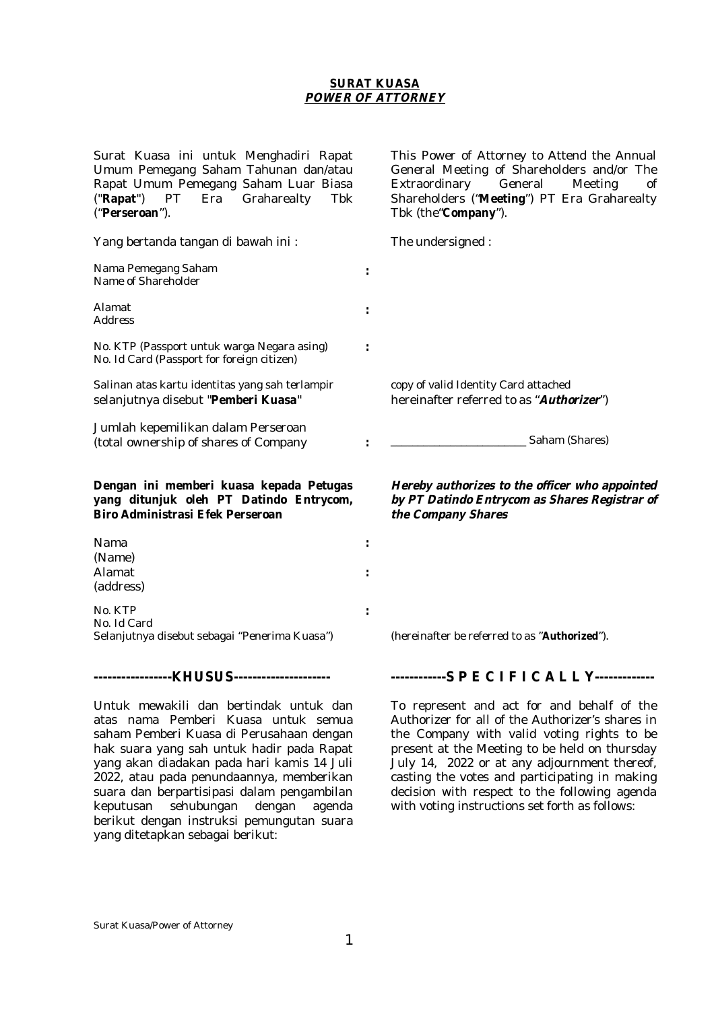## **SURAT KUASA** *POWER OF ATTORNEY*

| Surat Kuasa ini untuk Menghadiri Rapat<br>Umum Pemegang Saham Tahunan dan/atau<br>Rapat Umum Pemegang Saham Luar Biasa<br>PT.<br>Graharealty<br>("Rapat")<br>Era<br>Tbk<br>("Perseroan"). |                      | This Power of Attorney to Attend the Annual<br>General Meeting of Shareholders and/or The<br>Extraordinary<br>General<br>Meeting<br>οf<br>Shareholders ("Meeting") PT Era Graharealty<br>Tbk (the "Company"). |
|-------------------------------------------------------------------------------------------------------------------------------------------------------------------------------------------|----------------------|---------------------------------------------------------------------------------------------------------------------------------------------------------------------------------------------------------------|
| Yang bertanda tangan di bawah ini:                                                                                                                                                        |                      | The undersigned:                                                                                                                                                                                              |
| Nama Pemegang Saham<br>Name of Shareholder                                                                                                                                                | $\ddot{\cdot}$       |                                                                                                                                                                                                               |
| Alamat<br><b>Address</b>                                                                                                                                                                  | $\ddot{\phantom{a}}$ |                                                                                                                                                                                                               |
| No. KTP (Passport untuk warga Negara asing)<br>No. Id Card (Passport for foreign citizen)                                                                                                 |                      |                                                                                                                                                                                                               |
| Salinan atas kartu identitas yang sah terlampir<br>selanjutnya disebut "Pemberi Kuasa"                                                                                                    |                      | copy of valid Identity Card attached<br>hereinafter referred to as "Authorizer")                                                                                                                              |
| Jumlah kepemilikan dalam Perseroan<br>(total ownership of shares of Company                                                                                                               |                      | Saham (Shares)                                                                                                                                                                                                |
| Dengan ini memberi kuasa kepada Petugas<br>yang ditunjuk oleh PT Datindo Entrycom,<br><b>Biro Administrasi Efek Perseroan</b>                                                             |                      | Hereby authorizes to the officer who appointed<br>by PT Datindo Entrycom as Shares Registrar of<br>the Company Shares                                                                                         |
| Nama<br>(Name)<br>Alamat<br>(address)                                                                                                                                                     |                      |                                                                                                                                                                                                               |
| No. KTP<br>No. Id Card<br>Selanjutnya disebut sebagai "Penerima Kuasa")                                                                                                                   | $\ddot{\cdot}$       | (hereinafter be referred to as "Authorized").                                                                                                                                                                 |
|                                                                                                                                                                                           |                      | SPECIFICALLY                                                                                                                                                                                                  |
| Untuk mewakili dan bertindak untuk dan<br>atas nama Pemberi Kuasa untuk semua<br>saham Pemberi Kuasa di Perusahaan dengan                                                                 |                      | To represent and act for and behalf of the<br>Authorizer for all of the Authorizer's shares in<br>the Company with valid voting rights to be                                                                  |

saham Pemberi Kuasa di Perusahaan dengan hak suara yang sah untuk hadir pada Rapat yang akan diadakan pada hari kamis 14 Juli 2022, atau pada penundaannya, memberikan suara dan berpartisipasi dalam pengambilan keputusan sehubungan dengan agenda berikut dengan instruksi pemungutan suara yang ditetapkan sebagai berikut:

the Company with valid voting rights to be present at the Meeting to be held on thursday July 14, 2022 or at any adjournment thereof, casting the votes and participating in making decision with respect to the following agenda with voting instructions set forth as follows:

*Surat Kuasa/Power of Attorney*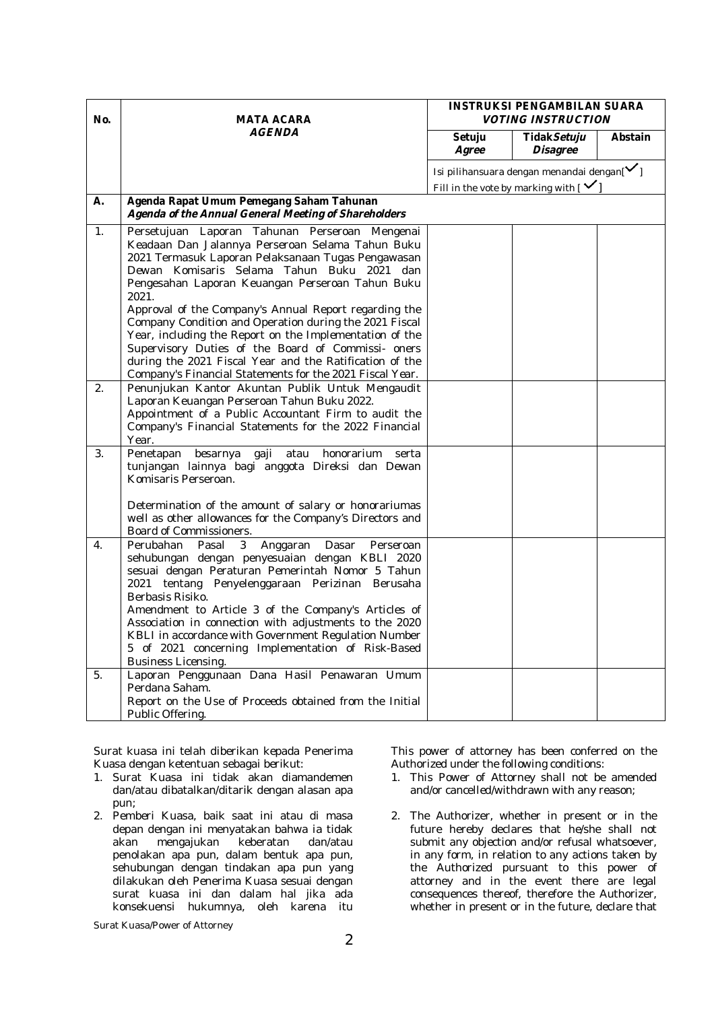| No. | <b>MATA ACARA</b>                                                                                                                                                                                                                                                                                                                                                                                                                                                                                                                                                                                                              | <b>INSTRUKSI PENGAMBILAN SUARA</b><br><b>VOTING INSTRUCTION</b> |                                                                                                         |         |
|-----|--------------------------------------------------------------------------------------------------------------------------------------------------------------------------------------------------------------------------------------------------------------------------------------------------------------------------------------------------------------------------------------------------------------------------------------------------------------------------------------------------------------------------------------------------------------------------------------------------------------------------------|-----------------------------------------------------------------|---------------------------------------------------------------------------------------------------------|---------|
|     | <i>AGENDA</i>                                                                                                                                                                                                                                                                                                                                                                                                                                                                                                                                                                                                                  | Setuju<br>Agree                                                 | Tidak Setuju<br>Disagree                                                                                | Abstain |
|     |                                                                                                                                                                                                                                                                                                                                                                                                                                                                                                                                                                                                                                |                                                                 | Isi pilihansuara dengan menandai dengan[V]<br>Fill in the vote by marking with $\vert \checkmark \vert$ |         |
| Α.  | Agenda Rapat Umum Pemegang Saham Tahunan<br>Agenda of the Annual General Meeting of Shareholders                                                                                                                                                                                                                                                                                                                                                                                                                                                                                                                               |                                                                 |                                                                                                         |         |
| 1.  | Persetujuan Laporan Tahunan Perseroan Mengenai<br>Keadaan Dan Jalannya Perseroan Selama Tahun Buku<br>2021 Termasuk Laporan Pelaksanaan Tugas Pengawasan<br>Dewan Komisaris Selama Tahun Buku 2021 dan<br>Pengesahan Laporan Keuangan Perseroan Tahun Buku<br>2021.<br>Approval of the Company's Annual Report regarding the<br>Company Condition and Operation during the 2021 Fiscal<br>Year, including the Report on the Implementation of the<br>Supervisory Duties of the Board of Commissi- oners<br>during the 2021 Fiscal Year and the Ratification of the<br>Company's Financial Statements for the 2021 Fiscal Year. |                                                                 |                                                                                                         |         |
| 2.  | Penunjukan Kantor Akuntan Publik Untuk Mengaudit<br>Laporan Keuangan Perseroan Tahun Buku 2022.<br>Appointment of a Public Accountant Firm to audit the<br>Company's Financial Statements for the 2022 Financial<br>Year.                                                                                                                                                                                                                                                                                                                                                                                                      |                                                                 |                                                                                                         |         |
| 3.  | Penetapan<br>besarnya<br>gaji<br>atau<br>honorarium<br>serta<br>tunjangan lainnya bagi anggota Direksi dan Dewan<br>Komisaris Perseroan.<br>Determination of the amount of salary or honorariumas<br>well as other allowances for the Company's Directors and<br>Board of Commissioners.                                                                                                                                                                                                                                                                                                                                       |                                                                 |                                                                                                         |         |
| 4.  | Perubahan<br>Pasal<br>Anggaran<br>3<br>Dasar<br>Perseroan<br>sehubungan dengan penyesuaian dengan KBLI 2020<br>sesuai dengan Peraturan Pemerintah Nomor 5 Tahun<br>2021 tentang Penyelenggaraan Perizinan Berusaha<br>Berbasis Risiko.<br>Amendment to Article 3 of the Company's Articles of<br>Association in connection with adjustments to the 2020<br>KBLI in accordance with Government Regulation Number<br>5 of 2021 concerning Implementation of Risk-Based<br><b>Business Licensing.</b>                                                                                                                             |                                                                 |                                                                                                         |         |
| 5.  | Laporan Penggunaan Dana Hasil Penawaran Umum<br>Perdana Saham.<br>Report on the Use of Proceeds obtained from the Initial<br>Public Offering.                                                                                                                                                                                                                                                                                                                                                                                                                                                                                  |                                                                 |                                                                                                         |         |

Surat kuasa ini telah diberikan kepada Penerima Kuasa dengan ketentuan sebagai berikut:

- 1. Surat Kuasa ini tidak akan diamandemen dan/atau dibatalkan/ditarik dengan alasan apa pun;
- 2. Pemberi Kuasa, baik saat ini atau di masa depan dengan ini menyatakan bahwa ia tidak<br>akan mengajukan keberatan dan/atau mengajukan keberatan dan/atau penolakan apa pun, dalam bentuk apa pun, sehubungan dengan tindakan apa pun yang dilakukan oleh Penerima Kuasa sesuai dengan surat kuasa ini dan dalam hal jika ada konsekuensi hukumnya, oleh karena itu

*Surat Kuasa/Power of Attorney* 

This power of attorney has been conferred on the Authorized under the following conditions:

- 1. This Power of Attorney shall not be amended and/or cancelled/withdrawn with any reason;
- 2. The Authorizer, whether in present or in the future hereby declares that he/she shall not submit any objection and/or refusal whatsoever, in any form, in relation to any actions taken by the Authorized pursuant to this power of attorney and in the event there are legal consequences thereof, therefore the Authorizer, whether in present or in the future, declare that